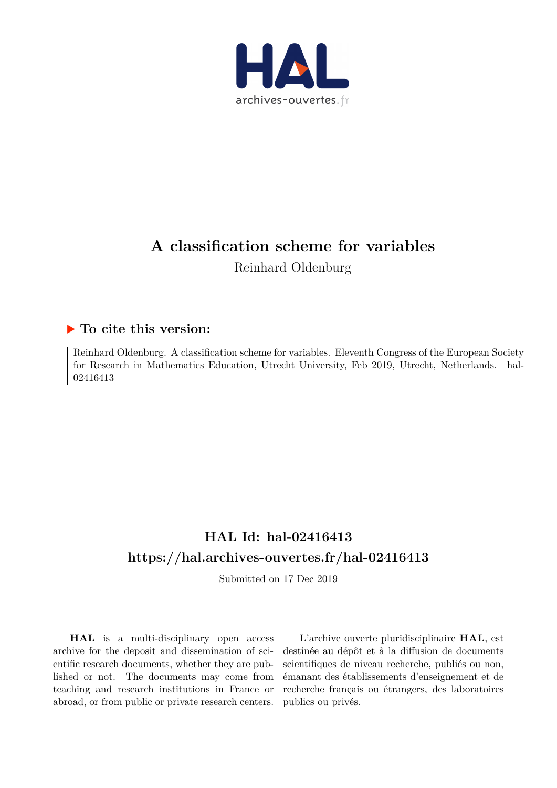

# **A classification scheme for variables** Reinhard Oldenburg

## **To cite this version:**

Reinhard Oldenburg. A classification scheme for variables. Eleventh Congress of the European Society for Research in Mathematics Education, Utrecht University, Feb 2019, Utrecht, Netherlands. hal-02416413

# **HAL Id: hal-02416413 <https://hal.archives-ouvertes.fr/hal-02416413>**

Submitted on 17 Dec 2019

**HAL** is a multi-disciplinary open access archive for the deposit and dissemination of scientific research documents, whether they are published or not. The documents may come from teaching and research institutions in France or abroad, or from public or private research centers.

L'archive ouverte pluridisciplinaire **HAL**, est destinée au dépôt et à la diffusion de documents scientifiques de niveau recherche, publiés ou non, émanant des établissements d'enseignement et de recherche français ou étrangers, des laboratoires publics ou privés.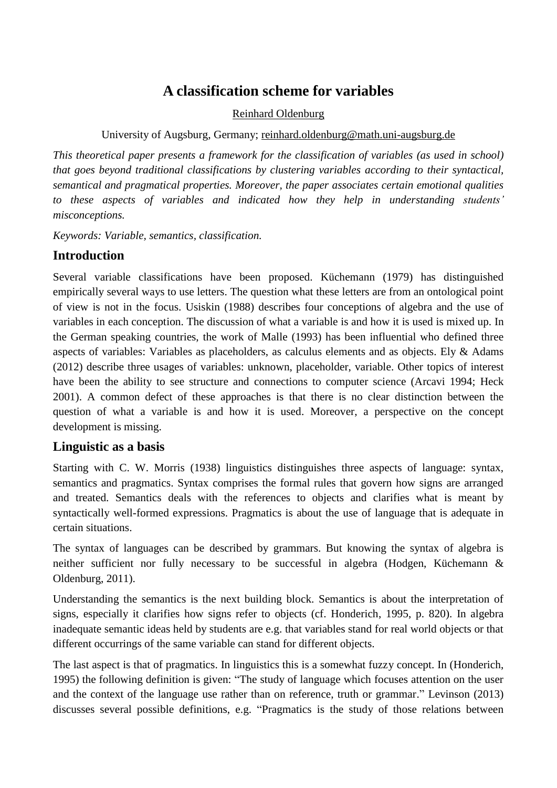# **A classification scheme for variables**

### Reinhard Oldenburg

### University of Augsburg, Germany; [reinhard.oldenburg@math.uni-augsburg.de](mailto:reinhard.oldenburg@math.uni-augsburg.de)

*This theoretical paper presents a framework for the classification of variables (as used in school) that goes beyond traditional classifications by clustering variables according to their syntactical, semantical and pragmatical properties. Moreover, the paper associates certain emotional qualities to these aspects of variables and indicated how they help in understanding students' misconceptions.*

*Keywords: Variable, semantics, classification.*

## **Introduction**

Several variable classifications have been proposed. Küchemann (1979) has distinguished empirically several ways to use letters. The question what these letters are from an ontological point of view is not in the focus. Usiskin (1988) describes four conceptions of algebra and the use of variables in each conception. The discussion of what a variable is and how it is used is mixed up. In the German speaking countries, the work of Malle (1993) has been influential who defined three aspects of variables: Variables as placeholders, as calculus elements and as objects. Ely  $\&$  Adams (2012) describe three usages of variables: unknown, placeholder, variable. Other topics of interest have been the ability to see structure and connections to computer science (Arcavi 1994; Heck 2001). A common defect of these approaches is that there is no clear distinction between the question of what a variable is and how it is used. Moreover, a perspective on the concept development is missing.

## **Linguistic as a basis**

Starting with C. W. Morris (1938) linguistics distinguishes three aspects of language: syntax, semantics and pragmatics. Syntax comprises the formal rules that govern how signs are arranged and treated. Semantics deals with the references to objects and clarifies what is meant by syntactically well-formed expressions. Pragmatics is about the use of language that is adequate in certain situations.

The syntax of languages can be described by grammars. But knowing the syntax of algebra is neither sufficient nor fully necessary to be successful in algebra (Hodgen, Küchemann & Oldenburg, 2011).

Understanding the semantics is the next building block. Semantics is about the interpretation of signs, especially it clarifies how signs refer to objects (cf. Honderich, 1995, p. 820). In algebra inadequate semantic ideas held by students are e.g. that variables stand for real world objects or that different occurrings of the same variable can stand for different objects.

The last aspect is that of pragmatics. In linguistics this is a somewhat fuzzy concept. In (Honderich, 1995) the following definition is given: "The study of language which focuses attention on the user and the context of the language use rather than on reference, truth or grammar." Levinson (2013) discusses several possible definitions, e.g. "Pragmatics is the study of those relations between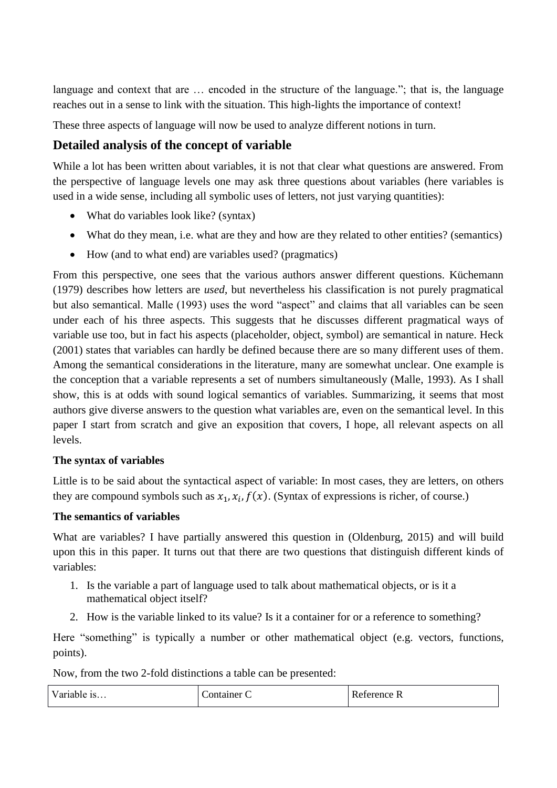language and context that are … encoded in the structure of the language."; that is, the language reaches out in a sense to link with the situation. This high-lights the importance of context!

These three aspects of language will now be used to analyze different notions in turn.

# **Detailed analysis of the concept of variable**

While a lot has been written about variables, it is not that clear what questions are answered. From the perspective of language levels one may ask three questions about variables (here variables is used in a wide sense, including all symbolic uses of letters, not just varying quantities):

- What do variables look like? (syntax)
- What do they mean, i.e. what are they and how are they related to other entities? (semantics)
- How (and to what end) are variables used? (pragmatics)

From this perspective, one sees that the various authors answer different questions. Küchemann (1979) describes how letters are *used*, but nevertheless his classification is not purely pragmatical but also semantical. Malle (1993) uses the word "aspect" and claims that all variables can be seen under each of his three aspects. This suggests that he discusses different pragmatical ways of variable use too, but in fact his aspects (placeholder, object, symbol) are semantical in nature. Heck (2001) states that variables can hardly be defined because there are so many different uses of them. Among the semantical considerations in the literature, many are somewhat unclear. One example is the conception that a variable represents a set of numbers simultaneously (Malle, 1993). As I shall show, this is at odds with sound logical semantics of variables. Summarizing, it seems that most authors give diverse answers to the question what variables are, even on the semantical level. In this paper I start from scratch and give an exposition that covers, I hope, all relevant aspects on all levels.

## **The syntax of variables**

Little is to be said about the syntactical aspect of variable: In most cases, they are letters, on others they are compound symbols such as  $x_1$ ,  $x_i$ ,  $f(x)$ . (Syntax of expressions is richer, of course.)

## **The semantics of variables**

What are variables? I have partially answered this question in (Oldenburg, 2015) and will build upon this in this paper. It turns out that there are two questions that distinguish different kinds of variables:

- 1. Is the variable a part of language used to talk about mathematical objects, or is it a mathematical object itself?
- 2. How is the variable linked to its value? Is it a container for or a reference to something?

Here "something" is typically a number or other mathematical object (e.g. vectors, functions, points).

Now, from the two 2-fold distinctions a table can be presented:

| $\sim$ $\sim$<br>. .<br>ariable<br>1S | ontainer | $\mathbf{r}$<br>Reference R |
|---------------------------------------|----------|-----------------------------|
|---------------------------------------|----------|-----------------------------|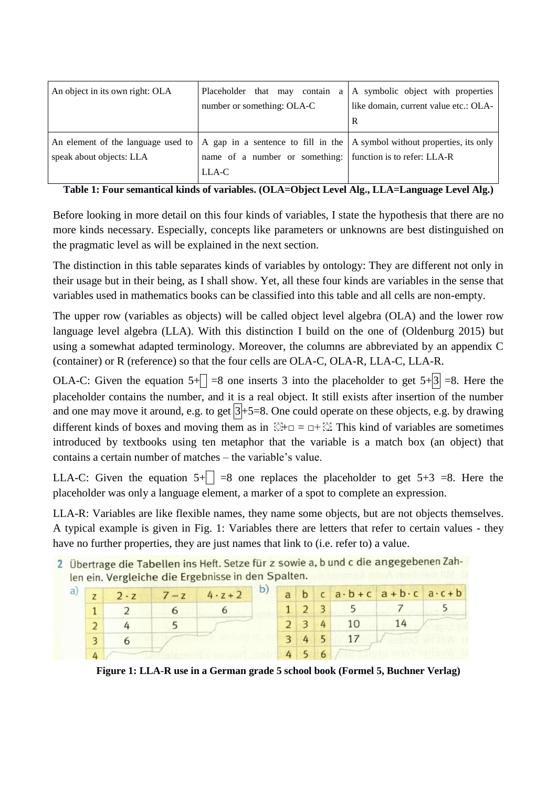| An object in its own right: OLA | Placeholder that may contain $a \mid A$ symbolic object with properties                                                                                                                                                                                                                                                                          |                                       |
|---------------------------------|--------------------------------------------------------------------------------------------------------------------------------------------------------------------------------------------------------------------------------------------------------------------------------------------------------------------------------------------------|---------------------------------------|
|                                 | number or something: OLA-C                                                                                                                                                                                                                                                                                                                       | like domain, current value etc.: OLA- |
|                                 |                                                                                                                                                                                                                                                                                                                                                  | R                                     |
|                                 | An element of the language used to $\begin{bmatrix} A & gap \end{bmatrix}$ a sentence to fill in the $\begin{bmatrix} A & symbol \end{bmatrix}$ a sentence to fill in the $\begin{bmatrix} A & symbol \end{bmatrix}$ a sentence to fill in the $\begin{bmatrix} A & symbol \end{bmatrix}$ a sentence to fill in the $\begin{bmatrix} A & symbol$ |                                       |
| speak about objects: LLA        | name of a number or something: function is to refer: LLA-R                                                                                                                                                                                                                                                                                       |                                       |
|                                 | LLA-C                                                                                                                                                                                                                                                                                                                                            |                                       |

**Table 1: Four semantical kinds of variables. (OLA=Object Level Alg., LLA=Language Level Alg.)**

Before looking in more detail on this four kinds of variables, I state the hypothesis that there are no more kinds necessary. Especially, concepts like parameters or unknowns are best distinguished on the pragmatic level as will be explained in the next section.

The distinction in this table separates kinds of variables by ontology: They are different not only in their usage but in their being, as I shall show. Yet, all these four kinds are variables in the sense that variables used in mathematics books can be classified into this table and all cells are non-empty.

The upper row (variables as objects) will be called object level algebra (OLA) and the lower row language level algebra (LLA). With this distinction I build on the one of (Oldenburg 2015) but using a somewhat adapted terminology. Moreover, the columns are abbreviated by an appendix C (container) or R (reference) so that the four cells are OLA-C, OLA-R, LLA-C, LLA-R.

OLA-C: Given the equation  $5+\sqrt{ }=8$  one inserts 3 into the placeholder to get  $5+\sqrt{3}=8$ . Here the placeholder contains the number, and it is a real object. It still exists after insertion of the number and one may move it around, e.g. to get  $\left|3\right|$  +5=8. One could operate on these objects, e.g. by drawing different kinds of boxes and moving them as in  $\mathbb{S}$ + $\Box$  =  $\Box$ + $\mathbb{S}$ . This kind of variables are sometimes introduced by textbooks using ten metaphor that the variable is a match box (an object) that contains a certain number of matches – the variable's value.

LLA-C: Given the equation  $5+$  =8 one replaces the placeholder to get  $5+3$  =8. Here the placeholder was only a language element, a marker of a spot to complete an expression.

LLA-R: Variables are like flexible names, they name some objects, but are not objects themselves. A typical example is given in Fig. 1: Variables there are letters that refer to certain values - they have no further properties, they are just names that link to (i.e. refer to) a value.

2 Übertrage die Tabellen ins Heft. Setze für z sowie a, b und c die angegebenen Zahlen ein. Vergleiche die Ergebnisse in den Spalten.

|  | $2 \cdot z$ | $7-z$ | $4 \cdot z + 2$ | U |                  |              |    | a b c $a \cdot b + c$ $a + b \cdot c$ $a \cdot c + b$ |  |
|--|-------------|-------|-----------------|---|------------------|--------------|----|-------------------------------------------------------|--|
|  |             |       |                 |   |                  | 3)           |    |                                                       |  |
|  |             |       |                 |   | $2 \overline{3}$ | 4            | 10 |                                                       |  |
|  |             |       |                 |   | 4                | $\mathbf{r}$ |    |                                                       |  |
|  |             |       |                 |   |                  |              |    |                                                       |  |

**Figure 1: LLA-R use in a German grade 5 school book (Formel 5, Buchner Verlag)**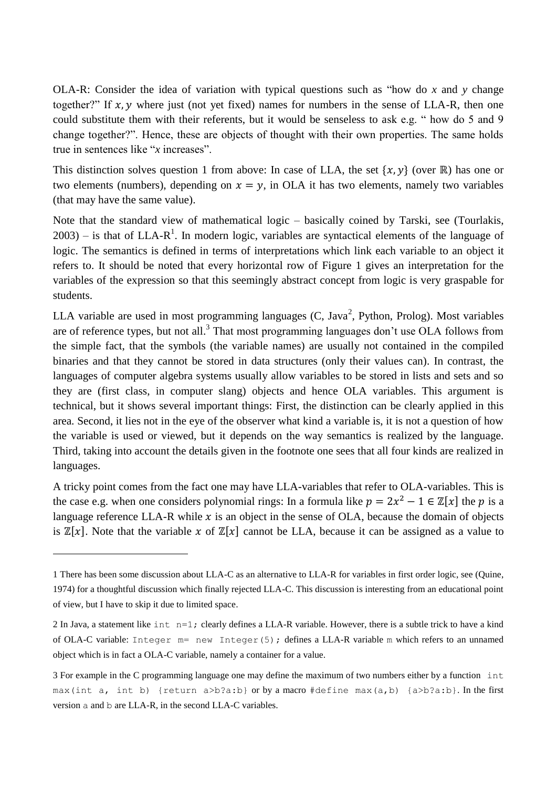OLA-R: Consider the idea of variation with typical questions such as "how do *x* and *y* change together?" If  $x, y$  where just (not yet fixed) names for numbers in the sense of LLA-R, then one could substitute them with their referents, but it would be senseless to ask e.g. " how do 5 and 9 change together?". Hence, these are objects of thought with their own properties. The same holds true in sentences like "*x* increases".

This distinction solves question 1 from above: In case of LLA, the set  $\{x, y\}$  (over  $\mathbb{R}$ ) has one or two elements (numbers), depending on  $x = y$ , in OLA it has two elements, namely two variables (that may have the same value).

Note that the standard view of mathematical logic – basically coined by Tarski, see (Tourlakis,  $2003$ ) – is that of LLA-R<sup>1</sup>. In modern logic, variables are syntactical elements of the language of logic. The semantics is defined in terms of interpretations which link each variable to an object it refers to. It should be noted that every horizontal row of Figure 1 gives an interpretation for the variables of the expression so that this seemingly abstract concept from logic is very graspable for students.

LLA variable are used in most programming languages  $(C, Java^2, Python, Prolog)$ . Most variables are of reference types, but not all.<sup>3</sup> That most programming languages don't use OLA follows from the simple fact, that the symbols (the variable names) are usually not contained in the compiled binaries and that they cannot be stored in data structures (only their values can). In contrast, the languages of computer algebra systems usually allow variables to be stored in lists and sets and so they are (first class, in computer slang) objects and hence OLA variables. This argument is technical, but it shows several important things: First, the distinction can be clearly applied in this area. Second, it lies not in the eye of the observer what kind a variable is, it is not a question of how the variable is used or viewed, but it depends on the way semantics is realized by the language. Third, taking into account the details given in the footnote one sees that all four kinds are realized in languages.

A tricky point comes from the fact one may have LLA-variables that refer to OLA-variables. This is the case e.g. when one considers polynomial rings: In a formula like  $p = 2x^2 - 1 \in \mathbb{Z}[x]$  the p is a language reference LLA-R while  $x$  is an object in the sense of OLA, because the domain of objects is  $\mathbb{Z}[x]$ . Note that the variable x of  $\mathbb{Z}[x]$  cannot be LLA, because it can be assigned as a value to

1

<sup>1</sup> There has been some discussion about LLA-C as an alternative to LLA-R for variables in first order logic, see (Quine, 1974) for a thoughtful discussion which finally rejected LLA-C. This discussion is interesting from an educational point of view, but I have to skip it due to limited space.

<sup>2</sup> In Java, a statement like int n=1; clearly defines a LLA-R variable. However, there is a subtle trick to have a kind of OLA-C variable: Integer m= new Integer(5); defines a LLA-R variable m which refers to an unnamed object which is in fact a OLA-C variable, namely a container for a value.

<sup>3</sup> For example in the C programming language one may define the maximum of two numbers either by a function int max(int a, int b) {return a>b?a:b} or by a macro #define max(a,b) {a>b?a:b}. In the first version a and b are LLA-R, in the second LLA-C variables.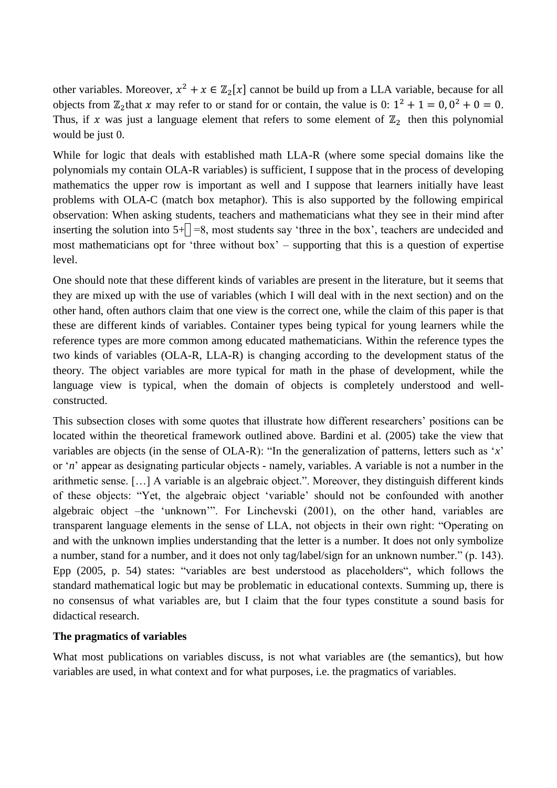other variables. Moreover,  $x^2 + x \in \mathbb{Z}_2[x]$  cannot be build up from a LLA variable, because for all objects from  $\mathbb{Z}_2$ that x may refer to or stand for or contain, the value is 0:  $1^2 + 1 = 0$ ,  $0^2 + 0 = 0$ . Thus, if x was just a language element that refers to some element of  $\mathbb{Z}_2$  then this polynomial would be just 0.

While for logic that deals with established math LLA-R (where some special domains like the polynomials my contain OLA-R variables) is sufficient, I suppose that in the process of developing mathematics the upper row is important as well and I suppose that learners initially have least problems with OLA-C (match box metaphor). This is also supported by the following empirical observation: When asking students, teachers and mathematicians what they see in their mind after inserting the solution into  $5+$  =8, most students say 'three in the box', teachers are undecided and most mathematicians opt for 'three without box' – supporting that this is a question of expertise level.

One should note that these different kinds of variables are present in the literature, but it seems that they are mixed up with the use of variables (which I will deal with in the next section) and on the other hand, often authors claim that one view is the correct one, while the claim of this paper is that these are different kinds of variables. Container types being typical for young learners while the reference types are more common among educated mathematicians. Within the reference types the two kinds of variables (OLA-R, LLA-R) is changing according to the development status of the theory. The object variables are more typical for math in the phase of development, while the language view is typical, when the domain of objects is completely understood and wellconstructed.

This subsection closes with some quotes that illustrate how different researchers' positions can be located within the theoretical framework outlined above. Bardini et al. (2005) take the view that variables are objects (in the sense of OLA-R): "In the generalization of patterns, letters such as '*x*' or '*n*' appear as designating particular objects - namely, variables. A variable is not a number in the arithmetic sense. […] A variable is an algebraic object.". Moreover, they distinguish different kinds of these objects: "Yet, the algebraic object 'variable' should not be confounded with another algebraic object –the 'unknown'". For Linchevski (2001), on the other hand, variables are transparent language elements in the sense of LLA, not objects in their own right: "Operating on and with the unknown implies understanding that the letter is a number. It does not only symbolize a number, stand for a number, and it does not only tag/label/sign for an unknown number." (p. 143). Epp (2005, p. 54) states: "variables are best understood as placeholders", which follows the standard mathematical logic but may be problematic in educational contexts. Summing up, there is no consensus of what variables are, but I claim that the four types constitute a sound basis for didactical research.

#### **The pragmatics of variables**

What most publications on variables discuss, is not what variables are (the semantics), but how variables are used, in what context and for what purposes, i.e. the pragmatics of variables.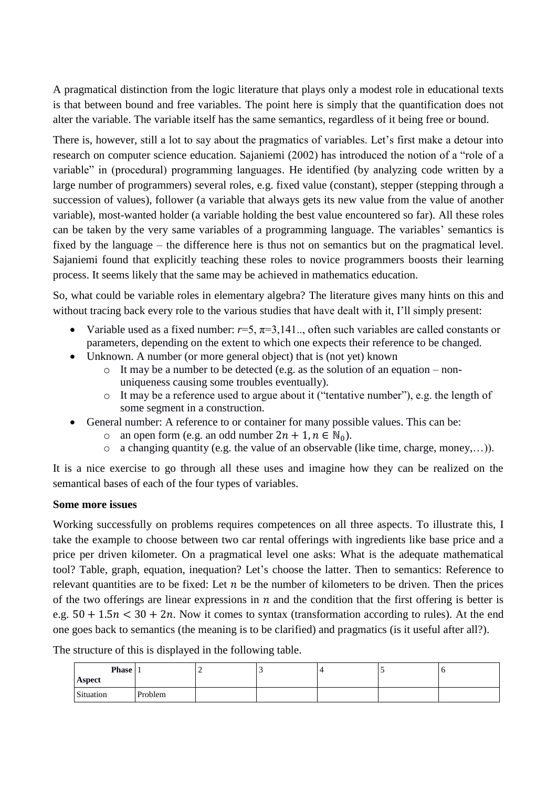A pragmatical distinction from the logic literature that plays only a modest role in educational texts is that between bound and free variables. The point here is simply that the quantification does not alter the variable. The variable itself has the same semantics, regardless of it being free or bound.

There is, however, still a lot to say about the pragmatics of variables. Let's first make a detour into research on computer science education. Sajaniemi (2002) has introduced the notion of a "role of a variable" in (procedural) programming languages. He identified (by analyzing code written by a large number of programmers) several roles, e.g. fixed value (constant), stepper (stepping through a succession of values), follower (a variable that always gets its new value from the value of another variable), most-wanted holder (a variable holding the best value encountered so far). All these roles can be taken by the very same variables of a programming language. The variables' semantics is fixed by the language – the difference here is thus not on semantics but on the pragmatical level. Sajaniemi found that explicitly teaching these roles to novice programmers boosts their learning process. It seems likely that the same may be achieved in mathematics education.

So, what could be variable roles in elementary algebra? The literature gives many hints on this and without tracing back every role to the various studies that have dealt with it, I'll simply present:

- Variable used as a fixed number:  $r=5$ ,  $\pi=3,141...$  often such variables are called constants or parameters, depending on the extent to which one expects their reference to be changed.
- Unknown. A number (or more general object) that is (not yet) known
	- o It may be a number to be detected (e.g. as the solution of an equation nonuniqueness causing some troubles eventually).
	- o It may be a reference used to argue about it ("tentative number"), e.g. the length of some segment in a construction.
	- General number: A reference to or container for many possible values. This can be:
		- o an open form (e.g. an odd number  $2n + 1$ ,  $n \in \mathbb{N}_0$ ).
		- o a changing quantity (e.g. the value of an observable (like time, charge, money,…)).

It is a nice exercise to go through all these uses and imagine how they can be realized on the semantical bases of each of the four types of variables.

### **Some more issues**

Working successfully on problems requires competences on all three aspects. To illustrate this, I take the example to choose between two car rental offerings with ingredients like base price and a price per driven kilometer. On a pragmatical level one asks: What is the adequate mathematical tool? Table, graph, equation, inequation? Let's choose the latter. Then to semantics: Reference to relevant quantities are to be fixed: Let  $n$  be the number of kilometers to be driven. Then the prices of the two offerings are linear expressions in  $n$  and the condition that the first offering is better is e.g.  $50 + 1.5n < 30 + 2n$ . Now it comes to syntax (transformation according to rules). At the end one goes back to semantics (the meaning is to be clarified) and pragmatics (is it useful after all?).

The structure of this is displayed in the following table.

| <b>Phase</b> |         |  |  | U |
|--------------|---------|--|--|---|
| Aspect       |         |  |  |   |
| Situation    | Problem |  |  |   |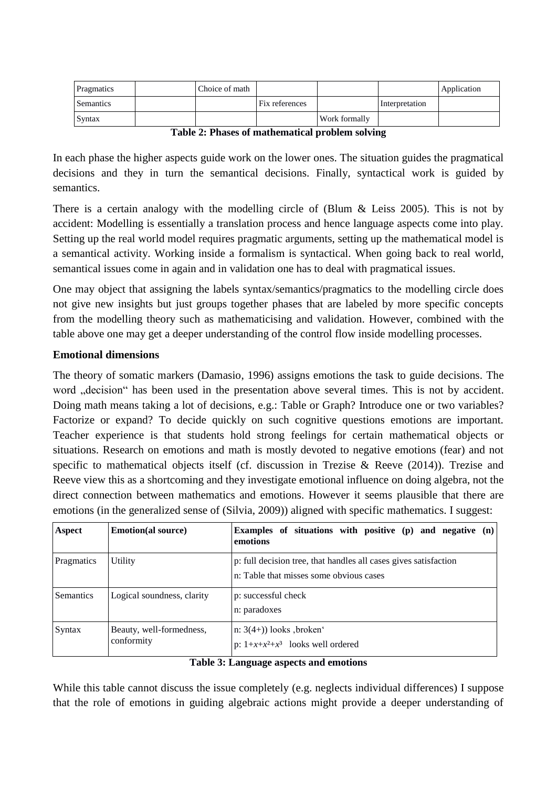| Pragmatics                                      | Choice of math |                |               |                | Application |
|-------------------------------------------------|----------------|----------------|---------------|----------------|-------------|
| Semantics                                       |                | Fix references |               | Interpretation |             |
| <b>Syntax</b>                                   |                |                | Work formally |                |             |
| Table 2. Dhagaa af mathamatical nuablem salving |                |                |               |                |             |

In each phase the higher aspects guide work on the lower ones. The situation guides the pragmatical decisions and they in turn the semantical decisions. Finally, syntactical work is guided by semantics.

There is a certain analogy with the modelling circle of (Blum  $\&$  Leiss 2005). This is not by accident: Modelling is essentially a translation process and hence language aspects come into play. Setting up the real world model requires pragmatic arguments, setting up the mathematical model is a semantical activity. Working inside a formalism is syntactical. When going back to real world, semantical issues come in again and in validation one has to deal with pragmatical issues.

One may object that assigning the labels syntax/semantics/pragmatics to the modelling circle does not give new insights but just groups together phases that are labeled by more specific concepts from the modelling theory such as mathematicising and validation. However, combined with the table above one may get a deeper understanding of the control flow inside modelling processes.

### **Emotional dimensions**

The theory of somatic markers (Damasio, 1996) assigns emotions the task to guide decisions. The word "decision" has been used in the presentation above several times. This is not by accident. Doing math means taking a lot of decisions, e.g.: Table or Graph? Introduce one or two variables? Factorize or expand? To decide quickly on such cognitive questions emotions are important. Teacher experience is that students hold strong feelings for certain mathematical objects or situations. Research on emotions and math is mostly devoted to negative emotions (fear) and not specific to mathematical objects itself (cf. discussion in Trezise & Reeve (2014)). Trezise and Reeve view this as a shortcoming and they investigate emotional influence on doing algebra, not the direct connection between mathematics and emotions. However it seems plausible that there are emotions (in the generalized sense of (Silvia, 2009)) aligned with specific mathematics. I suggest:

| Aspect     | <b>Emotion</b> (al source)             | Examples of situations with positive $(p)$ and negative $(p)$<br>emotions                                   |
|------------|----------------------------------------|-------------------------------------------------------------------------------------------------------------|
| Pragmatics | Utility                                | p: full decision tree, that handles all cases gives satisfaction<br>n: Table that misses some obvious cases |
| Semantics  | Logical soundness, clarity             | p: successful check<br>n: paradoxes                                                                         |
| Syntax     | Beauty, well-formedness,<br>conformity | n: $3(4+)$ ) looks, broken <sup><math>\epsilon</math></sup><br>p: $1+x+x^2+x^3$ looks well ordered          |

#### **Table 3: Language aspects and emotions**

While this table cannot discuss the issue completely (e.g. neglects individual differences) I suppose that the role of emotions in guiding algebraic actions might provide a deeper understanding of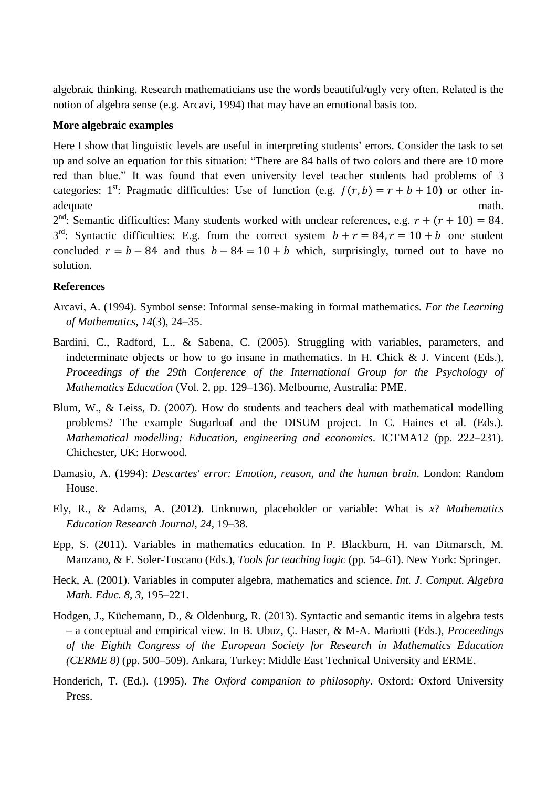algebraic thinking. Research mathematicians use the words beautiful/ugly very often. Related is the notion of algebra sense (e.g. Arcavi, 1994) that may have an emotional basis too.

#### **More algebraic examples**

Here I show that linguistic levels are useful in interpreting students' errors. Consider the task to set up and solve an equation for this situation: "There are 84 balls of two colors and there are 10 more red than blue." It was found that even university level teacher students had problems of 3 categories: 1<sup>st</sup>: Pragmatic difficulties: Use of function (e.g.  $f(r, b) = r + b + 10$ ) or other inadequate math.

 $2<sup>nd</sup>$ : Semantic difficulties: Many students worked with unclear references, e.g.  $r + (r + 10) = 84$ .  $3^{rd}$ : Syntactic difficulties: E.g. from the correct system  $b + r = 84, r = 10 + b$  one student concluded  $r = b - 84$  and thus  $b - 84 = 10 + b$  which, surprisingly, turned out to have no solution.

#### **References**

- Arcavi, A. (1994). Symbol sense: Informal sense-making in formal mathematics*. For the Learning of Mathematics*, *14*(3), 24–35.
- Bardini, C., Radford, L., & Sabena, C. (2005). Struggling with variables, parameters, and indeterminate objects or how to go insane in mathematics. In H. Chick & J. Vincent (Eds.), *Proceedings of the 29th Conference of the International Group for the Psychology of Mathematics Education* (Vol. 2, pp. 129–136). Melbourne, Australia: PME.
- Blum, W., & Leiss, D. (2007). How do students and teachers deal with mathematical modelling problems? The example Sugarloaf and the DISUM project. In C. Haines et al. (Eds*.*)*. Mathematical modelling: Education, engineering and economics*. ICTMA12 (pp. 222–231). Chichester, UK: Horwood.
- Damasio, A. (1994): *Descartes' error: Emotion, reason, and the human brain*. London: Random House.
- Ely, R., & Adams, A. (2012). Unknown, placeholder or variable: What is *x*? *Mathematics Education Research Journal, 24*, 19–38.
- Epp, S. (2011). Variables in mathematics education. In P. Blackburn, H. van Ditmarsch, M. Manzano, & F. Soler-Toscano (Eds.), *Tools for teaching logic* (pp. 54–61). New York: Springer.
- Heck, A. (2001). Variables in computer algebra, mathematics and science. *Int. J. Comput. Algebra Math. Educ. 8, 3*, 195–221.
- Hodgen, J., Küchemann, D., & Oldenburg, R. (2013). Syntactic and semantic items in algebra tests – a conceptual and empirical view. In B. Ubuz, Ç. Haser, & M-A. Mariotti (Eds.), *Proceedings of the Eighth Congress of the European Society for Research in Mathematics Education (CERME 8)* (pp. 500–509). Ankara, Turkey: Middle East Technical University and ERME.
- Honderich, T. (Ed.). (1995). *The Oxford companion to philosophy*. Oxford: Oxford University Press.